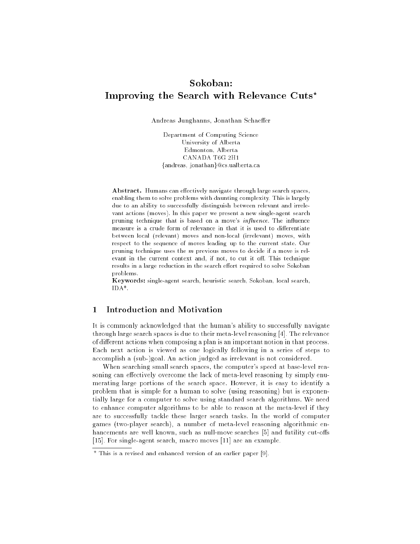# Sokoban:Improving the Search with Relevance Cuts?

Andreas Junghanns, Jonathan Schaeffer

Department of Computing Science University of Alberta Edmonton, Alberta CANADA T6G 2H1 {andreas, jonathan}@cs.ualberta.ca

Abstract. Humans can effectively navigate through large search spaces, enabling them to solve problems with daunting complexity. This is largely due to an ability to successfully distinguish between relevant and irrelevant actions (moves). In this paper we present a new single-agent search pruning technique that is based on a move's  $influence$ . The influence measure is a crude form of relevance in that it is used to differentiate between local (relevant) moves and non-local (irrelevant) moves, with respect to the sequence of moves leading up to the current state. Our pruning technique uses the  $m$  previous moves to decide if a move is relevant in the current context and, if not, to cut it off. This technique results in a large reduction in the search effort required to solve Sokoban problems.

Keywords: single-agent search, heuristic search, Sokoban, local search, IDA\*.

#### $\mathbf{1}$ 1 Introduction and Motivation

It is commonly acknowledged that the human's ability to successfully navigate through large search spaces is due to their meta-level reasoning [4]. The relevance of different actions when composing a plan is an important notion in that process. Each next action is viewed as one logically following in a series of steps to accomplish a (sub-)goal. An action judged as irrelevant is not considered.

When searching small search spaces, the computer's speed at base-level reasoning can effectively overcome the lack of meta-level reasoning by simply enumerating large portions of the search space. However, it is easy to identify a problem that is simple for a human to solve (using reasoning) but is exponentially large for a computer to solve using standard search algorithms. We need to enhance computer algorithms to be able to reason at the meta-level if they are to successfully tackle these larger search tasks. In the world of computer games (two-player search), a number of meta-level reasoning algorithmic enhancements are well known, such as null-move searches  $[5]$  and futility cut-offs [15]. For single-agent search, macro moves [11] are an example.

<sup>?</sup> This is a revised and enhanced version of an earlier paper [9].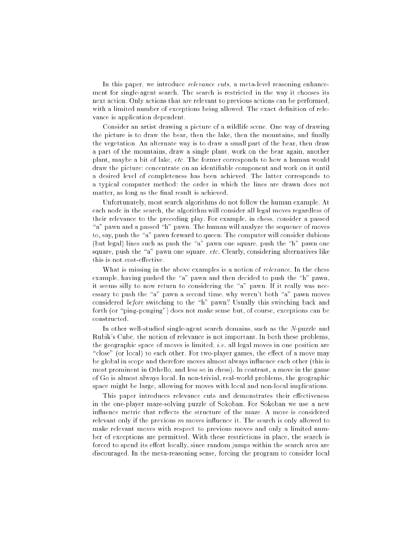In this paper, we introduce *relevance cuts*, a meta-level reasoning enhancement for single-agent search. The search is restricted in the way it chooses its next action. Only actions that are relevant to previous actions can be performed, with a limited number of exceptions being allowed. The exact definition of relevance is application dependent.

Consider an artist drawing a picture of a wildlife scene. One way of drawing the picture is to draw the bear, then the lake, then the mountains, and finally the vegetation. An alternate way is to draw a small part of the bear, then draw a part of the mountains, draw a single plant, work on the bear again, another plant, maybe a bit of lake, etc. The former corresponds to how a human would draw the picture: concentrate on an identiable component and work on it until a desired level of completeness has been achieved. The latter corresponds to a typical computer method: the order in which the lines are drawn does not matter, as long as the final result is achieved.

Unfortunately, most search algorithms do not follow the human example. At each node in the search, the algorithm will consider all legal moves regardless of their relevance to the preceding play. For example, in chess, consider a passed "a" pawn and a passed "h" pawn. The human will analyze the sequence of moves to, say, push the "a" pawn forward to queen. The computer will consider dubious (but legal) lines such as push the "a" pawn one square, push the "h" pawn one square, push the "a" pawn one square, etc. Clearly, considering alternatives like this is not cost-effective.

What is missing in the above examples is a notion of *relevance*. In the chess example, having pushed the "a" pawn and then decided to push the "h" pawn, it seems silly to now return to considering the \a" pawn. If it really was necessary to push the "a" pawn a second time, why weren't both "a" pawn moves considered before switching to the "h" pawn? Usually this switching back and forth (or \ping-ponging") does not make sense but, of course, exceptions can be constructed.

In other well-studied single-agent search domains, such as the N-puzzle and Rubik's Cube, the notion of relevance is not important. In both these problems, the geographic space of moves is limited, *i.e.* all legal moves in one position are "close" (or local) to each other. For two-player games, the effect of a move may be global in scope and therefore moves almost always in
uence each other (this is most prominent in Othello, and less so in chess). In contrast, a move in the game of Go is almost always local. In non-trivial, real-world problems, the geographic space might be large, allowing for moves with local and non-local implications.

This paper introduces relevance cuts and demonstrates their effectiveness in the one-player maze-solving puzzle of Sokoban. For Sokoban we use a new influence metric that reflects the structure of the maze. A move is considered relevant only if the previous  $m$  moves influence it. The search is only allowed to make relevant moves with respect to previous moves and only a limited number of exceptions are permitted. With these restrictions in place, the search is forced to spend its effort locally, since random jumps within the search area are discouraged. In the meta-reasoning sense, forcing the program to consider local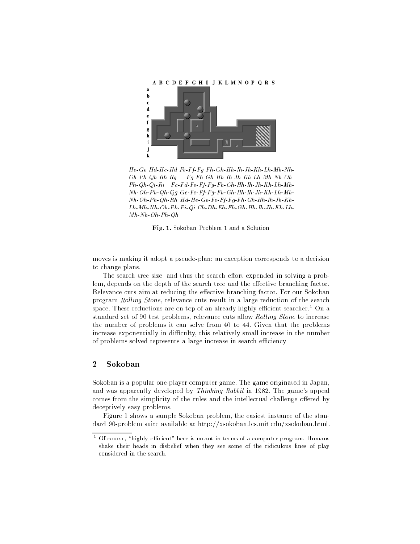

He-Ge Hd-Hc-Hd Fe-Ff-Fg Fh-Gh-Hh-Ih-Jh-Kh-Lh-Mh-Nh- $Oh$ - $Ph$ - $Qh$ - $Rh$ - $Rg$   $Fg$ - $Fh$ - $Gh$ - $Hh$ - $lh$ - $Kh$ - $Lh$ - $Mh$ - $Nh$ - $Oh$ -Ph-Qh-Qi-Ri Fc-Fd-Fe-Ff-Fg-Fh-Gh-Hh-Ih-Jh-Kh-Lh-Mh-Nh-Oh-Ph-Qh-Qg Ge-Fe-Ff-Fg-Fh-Gh-Hh-Ih-Jh-Kh-Lh-Mh-Nh-Oh-Ph-Qh-Rh Hd-He-Ge-Fe-Ff-Fg-Fh-Gh-Hh-Ih-Jh-Kh-Lh-Mh-Nh-Oh-Ph-Pi-Qi Ch-Dh-Eh-Fh-Gh-Hh-Ih-Jh-Kh-Lh-Mh-Nh-Oh-Ph-Qh

Fig. 1. Sokoban Problem 1 and a Solution

moves is making it adopt a pseudo-plan; an exception corresponds to a decision to change plans.

The search tree size, and thus the search effort expended in solving a problem, depends on the depth of the search tree and the effective branching factor. Relevance cuts aim at reducing the effective branching factor. For our Sokoban program Rolling Stone, relevance cuts result in a large reduction of the search space. These reductions are on top of an already highly efficient searcher.<sup>1</sup> On a standard set of 90 test problems, relevance cuts allow Rolling Stone to increase the number of problems it can solve from 40 to 44. Given that the problems increase exponentially in difficulty, this relatively small increase in the number of problems solved represents a large increase in search eciency.

### $\overline{2}$ Sokoban

Sokoban is a popular one-player computer game. The game originated in Japan, and was apparently developed by Thinking Rabbit in 1982. The game's appeal comes from the simplicity of the rules and the intellectual challenge offered by deceptively easy problems.

Figure 1 shows a sample Sokoban problem, the easiest instance of the standard 90-problem suite available at http://xsokoban.lcs.mit.edu/xsokoban.html.

<sup>1</sup> Of course, "highly efficient" here is meant in terms of a computer program. Humans shake their heads in disbelief when they see some of the ridiculous lines of play considered in the search.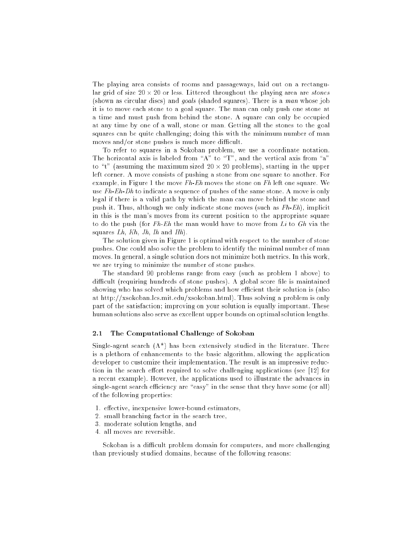The playing area consists of rooms and passageways, laid out on a rectangular grid of size 20 - 20 or less. Littered throughout the playing area are stones (shown as circular discs) and goals (shaded squares). There is a man whose job it is to move each stone to a goal square. The man can only push one stone at a time and must push from behind the stone. A square can only be occupied at any time by one of a wall, stone or man. Getting all the stones to the goal squares can be quite challenging; doing this with the minimum number of man moves and/or stone pushes is much more difficult.

To refer to squares in a Sokoban problem, we use a coordinate notation. The horizontal axis is labeled from "A" to "T", and the vertical axis from "a" to a generating the maximum sized 20 - 20 - 20 problems), starting in the upper left corner. A move consists of pushing a stone from one square to another. For example, in Figure 1 the move  $Fh$ -Eh moves the stone on  $Fh$  left one square. We use Fh-Eh-Dh to indicate a sequence of pushes of the same stone. A move is only legal if there is a valid path by which the man can move behind the stone and push it. Thus, although we only indicate stone moves (such as Fh-Eh), implicit in this is the man's moves from its current position to the appropriate square to do the push (for  $Fh$ -Eh the man would have to move from  $Li$  to  $Gh$  via the squares  $Lh$ ,  $Kh$ ,  $Jh$ ,  $Ih$  and  $Hh$ ).

The solution given in Figure 1 is optimal with respect to the number of stone pushes. One could also solve the problem to identify the minimal number of man moves. In general, a single solution does not minimize both metrics. In this work, we are trying to minimize the number of stone pushes.

The standard 90 problems range from easy (such as problem 1 above) to difficult (requiring hundreds of stone pushes). A global score file is maintained showing who has solved which problems and how efficient their solution is (also at http://xsokoban.lcs.mit.edu/xsokoban.html). Thus solving a problem is only part of the satisfaction; improving on your solution is equally important. These human solutions also serve as excellent upper bounds on optimal solution lengths.

### 2.1 The Computational Challenge of Sokoban

Single-agent search (A\*) has been extensively studied in the literature. There is a plethora of enhancements to the basic algorithm, allowing the application developer to customize their implementation. The result is an impressive reduction in the search effort required to solve challenging applications (see [12] for a recent example). However, the applications used to illustrate the advances in  $single-agent search efficiency are "easy" in the sense that they have some (or all)$ of the following properties:

- 1. effective, inexpensive lower-bound estimators,
- 2. small branching factor in the search tree,
- 3. moderate solution lengths, and
- 4. all moves are reversible.

Sokoban is a difficult problem domain for computers, and more challenging than previously studied domains, because of the following reasons: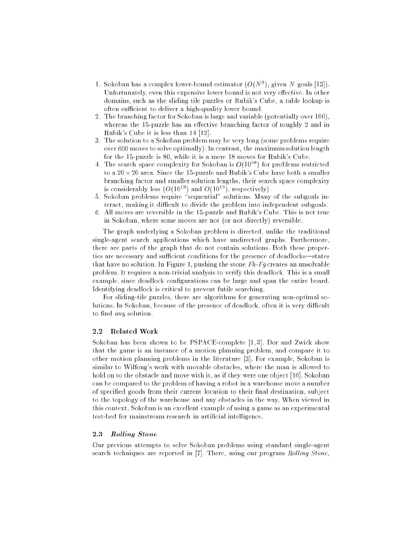- 1. Sokoban has a complex lower-bound estimator  $(U(N^{\top}),$  given N goals  $[15]$ . Unfortunately, even this expensive lower bound is not very effective. In other domains, such as the sliding tile puzzles or Rubik's Cube, a table lookup is often sufficient to deliver a high-quality lower bound.
- 2. The branching factor for Sokoban is large and variable (potentially over 100), whereas the 15-puzzle has an effective branching factor of roughly 2 and in Rubik's Cube it is less than 14 [12].
- 3. The solution to a Sokoban problem may be very long (some problems require over 600 moves to solve optimally). In contrast, the maximum solution length for the 15-puzzle is 80, while it is a mere 18 moves for Rubik's Cube.
- 4. The search space complexity for Sokoban is  $O(10^{98})$  for problems restricted to a 20  $\times$  20 area. Since the 15-puzzle and Rubik's Cube have both a smaller branching factor and smaller solution lengths, their search space complexity is considerably less  $(O(10^{13})$  and  $O(10^{19})$ , respectively).
- 5. Sokoban problems require "sequential" solutions. Many of the subgoals interact, making it difficult to divide the problem into independent subgoals.
- 6. All moves are reversible in the 15-puzzle and Rubik's Cube. This is not true in Sokoban, where some moves are not (or not directly) reversible.

The graph underlying a Sokoban problem is directed, unlike the traditional single-agent search applications which have undirected graphs. Furthermore, there are parts of the graph that do not contain solutions. Both these properties are necessary and sufficient conditions for the presence of deadlocks-states that have no solution. In Figure 1, pushing the stone  $Fh$ -Fg creates an unsolvable problem. It requires a non-trivial analysis to verify this deadlock. This is a small example, since deadlock configurations can be large and span the entire board. Identifying deadlock is critical to prevent futile searching.

For sliding-tile puzzles, there are algorithms for generating non-optimal solutions. In Sokoban, because of the presence of deadlock, often it is very difficult to find  $any$  solution.

# 2.2 Related Work

Sokoban has been shown to be PSPACE-complete [1, 3]. Dor and Zwick show that the game is an instance of a motion planning problem, and compare it to other motion planning problems in the literature [3]. For example, Sokoban is similar to Wilfong's work with movable obstacles, where the man is allowed to hold on to the obstacle and move with it, as if they were one object [16]. Sokoban can be compared to the problem of having a robot in a warehouse move a number of specified goods from their current location to their final destination, subject to the topology of the warehouse and any obstacles in the way. When viewed in this context, Sokoban is an excellent example of using a game as an experimental test-bed for mainstream research in articial intelligence.

# 2.3 Rolling Stone

Our previous attempts to solve Sokoban problems using standard single-agent search techniques are reported in  $[7]$ . There, using our program Rolling Stone,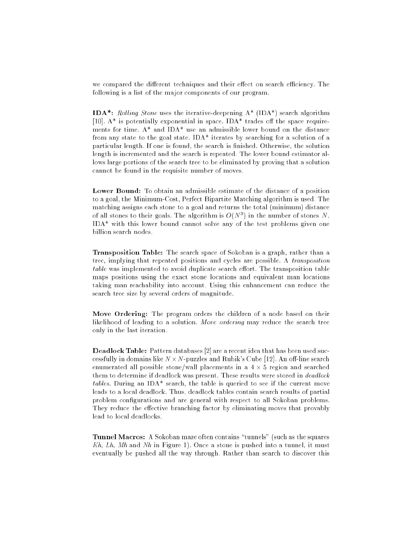we compared the different techniques and their effect on search efficiency. The following is a list of the major components of our program.

**IDA\*:** Rolling Stone uses the iterative-deepening  $A^*$  (IDA\*) search algorithm [10].  $A^*$  is potentially exponential in space. IDA\* trades off the space requirements for time. A\* and IDA\* use an admissible lower bound on the distance from any state to the goal state. IDA<sup>\*</sup> iterates by searching for a solution of a particular length. If one is found, the search is finished. Otherwise, the solution length is incremented and the search is repeated. The lower bound estimator allows large portions of the search tree to be eliminated by proving that a solution cannot be found in the requisite number of moves.

Lower Bound: To obtain an admissible estimate of the distance of a position to a goal, the Minimum-Cost, Perfect Bipartite Matching algorithm is used. The matching assigns each stone to a goal and returns the total (minimum) distance of all stones to their goals. The algorithm is  $O(N^*)$  in the number of stones  $N$  . IDA\* with this lower bound cannot solve any of the test problems given one billion search nodes.

Transposition Table: The search space of Sokoban is a graph, rather than a tree, implying that repeated positions and cycles are possible. A transposition table was implemented to avoid duplicate search effort. The transposition table maps positions using the exact stone locations and equivalent man locations taking man reachability into account. Using this enhancement can reduce the search tree size by several orders of magnitude.

Move Ordering: The program orders the children of a node based on their likelihood of leading to a solution. Move ordering may reduce the search tree only in the last iteration.

Deadlock Table: Pattern databases [2] are a recent idea that has been used successfully in domains like  $N \times N$ -puzzles and Rubik's Cube [12]. An off-line search enumerated all possible stone/wall placements in a 4 - 5 region and searched them to determine if deadlock was present. These results were stored in *deadlock* tables. During an IDA\* search, the table is queried to see if the current move leads to a local deadlock. Thus, deadlock tables contain search results of partial problem configurations and are general with respect to all Sokoban problems. They reduce the effective branching factor by eliminating moves that provably lead to local deadlocks.

Tunnel Macros: A Sokoban maze often contains \tunnels" (such as the squares Kh, Lh, Mh and Nh in Figure 1). Once a stone is pushed into a tunnel, it must eventually be pushed all the way through. Rather than search to discover this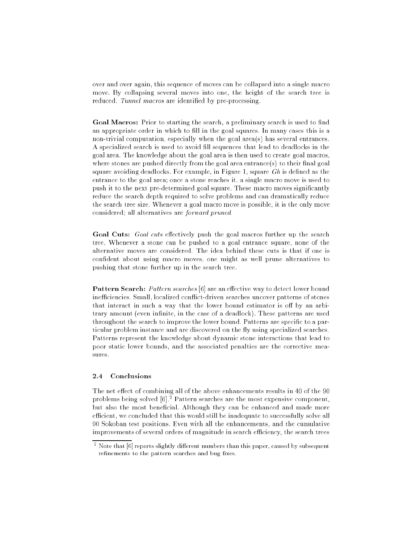over and over again, this sequence of moves can be collapsed into a single macro move. By collapsing several moves into one, the height of the search tree is reduced. Tunnel macros are identified by pre-processing.

Goal Macros: Prior to starting the search, a preliminary search is used to find an appropriate order in which to fill in the goal squares. In many cases this is a non-trivial computation, especially when the goal area(s) has several entrances. A specialized search is used to avoid fill sequences that lead to deadlocks in the goal area. The knowledge about the goal area is then used to create goal macros, where stones are pushed directly from the goal area entrance(s) to their final goal square avoiding deadlocks. For example, in Figure 1, square  $Gh$  is defined as the entrance to the goal area; once a stone reaches it, a single macro move is used to push it to the next pre-determined goal square. These macro moves significantly reduce the search depth required to solve problems and can dramatically reduce the search tree size. Whenever a goal macro move is possible, it is the only move considered; all alternatives are forward pruned.

Goal Cuts: Goal cuts effectively push the goal macros further up the search tree. Whenever a stone can be pushed to a goal entrance square, none of the alternative moves are considered. The idea behind these cuts is that if one is confident about using macro moves, one might as well prune alternatives to pushing that stone further up in the search tree.

**Pattern Search:** Pattern searches [6] are an effective way to detect lower bound inefficiencies. Small, localized conflict-driven searches uncover patterns of stones that interact in such a way that the lower bound estimator is off by an arbitrary amount (even infinite, in the case of a deadlock). These patterns are used throughout the search to improve the lower bound. Patterns are specific to a particular problem instance and are discovered on the fly using specialized searches. Patterns represent the knowledge about dynamic stone interactions that lead to poor static lower bounds, and the associated penalties are the corrective measures.

#### $2.4$ Conclusions

The net effect of combining all of the above enhancements results in 40 of the 90 problems being solved [6]. Pattern searches are the most expensive component, but also the most beneficial. Although they can be enhanced and made more efficient, we concluded that this would still be inadequate to successfully solve all 90 Sokoban test positions. Even with all the enhancements, and the cumulative improvements of several orders of magnitude in search efficiency, the search trees

 $^\circ$  Note that [6] reports slightly different numbers than this paper, caused by subsequent refinements to the pattern searches and bug fixes.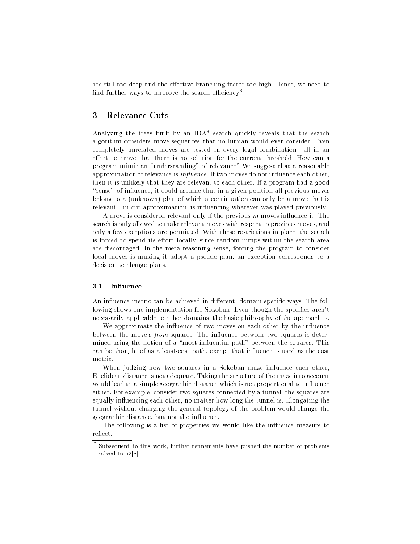are still too deep and the effective branching factor too high. Hence, we need to find further ways to improve the search efficiency<sup>3</sup>

### Relevance Cuts 3

Analyzing the trees built by an IDA\* search quickly reveals that the search algorithm considers move sequences that no human would ever consider. Even completely unrelated moves are tested in every legal combination-all in an effort to prove that there is no solution for the current threshold. How can a program mimic an "understanding" of relevance? We suggest that a reasonable approximation of relevance is  $influence$ . If two moves do not influence each other, then it is unlikely that they are relevant to each other. If a program had a good "sense" of influence, it could assume that in a given position all previous moves belong to a (unknown) plan of which a continuation can only be a move that is relevant—in our approximation, is influencing whatever was played previously.

A move is considered relevant only if the previous  $m$  moves influence it. The search is only allowed to make relevant moves with respect to previous moves, and only a few exceptions are permitted. With these restrictions in place, the search is forced to spend its effort locally, since random jumps within the search area are discouraged. In the meta-reasoning sense, forcing the program to consider local moves is making it adopt a pseudo-plan; an exception corresponds to a decision to change plans.

### 3.1 In
uence

An influence metric can be achieved in different, domain-specific ways. The following shows one implementation for Sokoban. Even though the specifics aren't necessarily applicable to other domains, the basic philosophy of the approach is.

We approximate the influence of two moves on each other by the influence between the move's *from* squares. The influence between two squares is determined using the notion of a "most influential path" between the squares. This can be thought of as a least-cost path, except that in
uence is used as the cost metric.

When judging how two squares in a Sokoban maze influence each other, Euclidean distance is not adequate. Taking the structure of the maze into account would lead to a simple geographic distance which is not proportional to influence either. For example, consider two squares connected by a tunnel; the squares are equally influencing each other, no matter how long the tunnel is. Elongating the tunnel without changing the general topology of the problem would change the geographic distance, but not the influence.

The following is a list of properties we would like the influence measure to reflect:

<sup>.</sup> Subsequent to this work, further refinements have pushed the number of problems solved to 52[8].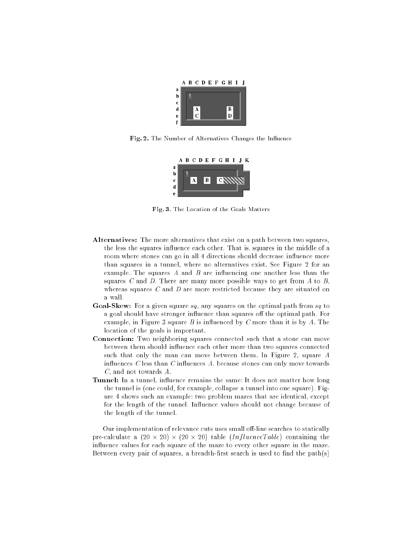

Fig. 2. The Number of Alternatives Changes the Influence



Fig. 3. The Location of the Goals Matters

- Alternatives: The more alternatives that exist on a path between two squares, the less the squares influence each other. That is, squares in the middle of a room where stones can go in all 4 directions should decrease influence more than squares in a tunnel, where no alternatives exist. See Figure 2 for an example. The squares  $A$  and  $B$  are influencing one another less than the squares C and D. There are many more possible ways to get from A to B. whereas squares  $C$  and  $D$  are more restricted because they are situated on a wall.
- **Goal-Skew:** For a given square  $sq$ , any squares on the optimal path from  $sq$  to a goal should have stronger influence than squares off the optimal path. For example, in Figure 3 square  $B$  is influenced by  $C$  more than it is by  $A$ . The location of the goals is important.
- Connection: Two neighboring squares connected such that a stone can move between them should influence each other more than two squares connected such that only the man can move between them. In Figure 2, square A influences  $C$  less than  $C$  influences  $A$ , because stones can only move towards C, and not towards A.
- Tunnel: In a tunnel, influence remains the same: It does not matter how long the tunnel is (one could, for example, collapse a tunnel into one square). Figure 4 shows such an example: two problem mazes that are identical, except for the length of the tunnel. Influence values should not change because of the length of the tunnel.

Our implementation of relevance cuts uses small off-line searches to statically pre-calculate a (20) table (20) table (20) tables (20) tables able) containing the in
uence values for each square of the maze to every other square in the maze. Between every pair of squares, a breadth-first search is used to find the path(s)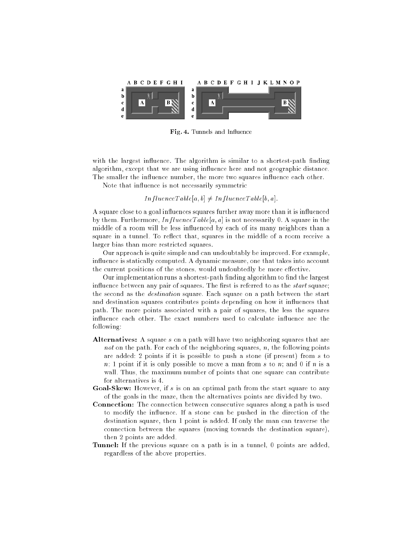

 ${\bf Fig.~4.~Tunnels}$  and Influence

with the largest influence. The algorithm is similar to a shortest-path finding algorithm, except that we are using in
uence here and not geographic distance. The smaller the influence number, the more two squares influence each other.

Note that influence is not necessarily symmetric

# $Influence Table[a, b] \neq Influence Table[b, a].$

A square close to a goal influences squares further away more than it is influenced by them. Furthermore,  $Influence Table[a, a]$  is not necessarily 0. A square in the middle of a room will be less influenced by each of its many neighbors than a square in a tunnel. To reflect that, squares in the middle of a room receive a larger bias than more restricted squares.

Our approach is quite simple and can undoubtably be improved. For example, in
uence is statically computed. A dynamic measure, one that takes into account the current positions of the stones, would undoubtedly be more effective.

Our implementation runs a shortest-path finding algorithm to find the largest influence between any pair of squares. The first is referred to as the *start* square; the second as the destination square. Each square on a path between the start and destination squares contributes points depending on how it influences that path. The more points associated with a pair of squares, the less the squares influence each other. The exact numbers used to calculate influence are the following: following:

- Alternatives: A square s on a path will have two neighboring squares that are not on the path. For each of the neighboring squares,  $n$ , the following points are added: 2 points if it is possible to push a stone (if present) from s to  $n; 1$  point if it is only possible to move a man from s to n; and 0 if n is a wall. Thus, the maximum number of points that one square can contribute for alternatives is 4.
- Goal-Skew: However, if s is on an optimal path from the start square to any of the goals in the maze, then the alternatives points are divided by two.
- Connection: The connection between consecutive squares along a path is used to modify the influence. If a stone can be pushed in the direction of the destination square, then 1 point is added. If only the man can traverse the connection between the squares (moving towards the destination square), then 2 points are added.
- Tunnel: If the previous square on a path is in a tunnel, 0 points are added, regardless of the above properties.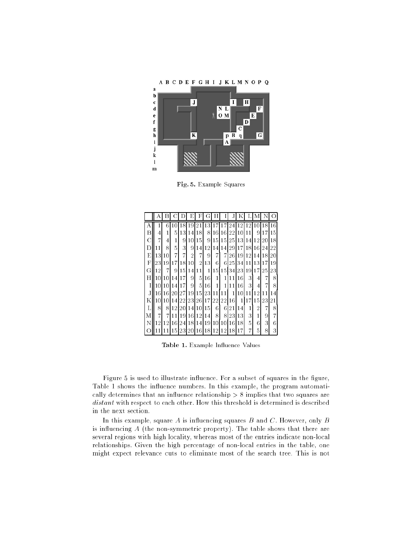

Fig. 5. Example Squares

|   |    |                 |       |    |                |                 | G            |    |    |    | K  |       |                |               |                |
|---|----|-----------------|-------|----|----------------|-----------------|--------------|----|----|----|----|-------|----------------|---------------|----------------|
|   |    | 6               | 10    | 18 | 19             | 21              | 13           | 17 | 17 | 24 | 12 | 12    | 10I            | $^{\prime}18$ | 16             |
| Β | 4  | 1               | 5     | 13 | 14             | 18              | 8            | 16 | 16 | 22 | 10 | 11    | 9              | 17            | 15             |
| C | 7  | 4               | 1     | 9  | 10             | 15              | 9            | 15 | 15 | 25 |    | 13 14 | 12             | 20            | 18             |
| D | 11 | 8               | 5     | 3  | 9              | 14              | 12           | 14 | 14 | 29 |    | 1718  |                | 16 24         | 22             |
| Е | 13 | 10              | 7     | 7  | $\overline{2}$ | 7               | 9            | 7  | 7  | 26 |    | 19 12 | 14             | 18            | 20             |
| F | 23 | 19              | 17    | 18 | 10             | $\overline{2}$  | 13           | 6  | 6  | 25 | 34 | 11    | 13             | 17            | 19             |
| G | 12 | 7               | 9     | 15 | 14             | 11              | $\mathbf{1}$ | 15 | 15 | 34 | 23 | 19    | 17             | 25            | 23             |
| Η | 10 |                 | 10114 | 17 | 9              | 5               | 16           | 1  | 1  | 11 | 16 | 3     | 4              | 7             | 8              |
| Ī | 10 | 10I             | 14    | 17 | 9              | 5               | 16           | 1  | 1  | 11 | 16 | 3     | 4              | 7             | 8              |
| J | 16 |                 | 16 20 | 27 | 19             | 15 <sup>1</sup> | 23           | 11 | 11 | 1  | 10 | 11    | 12             | 11            | 14             |
| Κ | 10 | 10I             | 14    | 22 | 23             | 26              | 17           | 22 | 22 | 16 | 1  | 17    | 15             | 23            | $^{\rm 21}$    |
| L | 8  | 8               | 12    |    |                | 201141101       | 15           | 6  | 6  | 21 | 14 | 1     | $\overline{2}$ | 7             | 8              |
| М | 7  | 7               | 11    |    | 19 16          | 12 <sup>1</sup> | 14           | 8  | 8  | 23 | 13 | 3     | $\mathbf{1}$   | 9             | $\overline{7}$ |
| N | 12 | 12 <sup>1</sup> | 16    |    |                | 24 18 14        | 19           | 10 | 10 | 16 | 18 | 5     | 6              | 3             | 6              |
|   |    |                 | 15    | 23 | 20             | 16              | 18           | 12 | 12 | 18 | 17 | 7     | 5              | 8             | 3              |

Table 1. Example Influence Values

Figure 5 is used to illustrate influence. For a subset of squares in the figure, Table 1 shows the influence numbers. In this example, the program automatically determines that an influence relationship  $> 8$  implies that two squares are distant with respect to each other. How this threshold is determined is described in the next section.

In this example, square  $A$  is influencing squares  $B$  and  $C$ . However, only  $B$ is in
uencing A (the non-symmetric property). The table shows that there are several regions with high locality, whereas most of the entries indicate non-local relationships. Given the high percentage of non-local entries in the table, one might expect relevance cuts to eliminate most of the search tree. This is not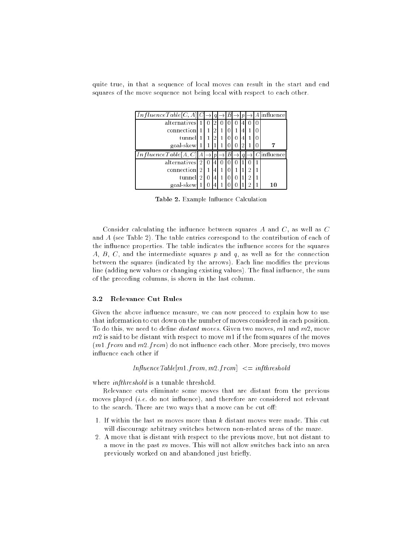quite true, in that a sequence of local moves can result in the start and end squares of the move sequence not being local with respect to each other.

| InfluenceTable[C, A] |    |   |                |   |   |   | А | influence |
|----------------------|----|---|----------------|---|---|---|---|-----------|
| alternatives         |    |   |                |   |   |   |   |           |
| connection           |    |   | '2             | 0 |   |   |   |           |
| tunnell              |    |   | $\overline{2}$ |   | 0 |   |   |           |
| goal-skew 1          |    |   |                |   |   |   |   |           |
|                      |    |   |                |   |   |   |   |           |
| InfluenceTable[A, C] | А  |   | n              |   |   |   |   | uence     |
| alternatives         | -2 |   |                |   |   |   |   |           |
| connection           | 2  | 1 | 4              | 0 |   | 2 |   |           |
| tunnell              | 2  | 0 | 4              |   |   | 2 |   |           |

Table 2. Example Influence Calculation

Consider calculating the influence between squares  $A$  and  $C$ , as well as  $C$ and A (see Table 2). The table entries correspond to the contribution of each of the influence properties. The table indicates the influence scores for the squares A, B, C, and the intermediate squares p and q, as well as for the connection between the squares (indicated by the arrows). Each line modifies the previous line (adding new values or changing existing values). The final influence, the sum of the preceding columns, is shown in the last column.

#### 3.2 3.2 Relevance Cut Rules

Given the above influence measure, we can now proceed to explain how to use that information to cut down on the number of moves considered in each position. To do this, we need to define *distant moves*. Given two moves,  $m1$  and  $m2$ , move  $m2$  is said to be distant with respect to move  $m1$  if the from squares of the moves  $(m1. from and m2. from)$  do not influence each other. More precisely, two moves in
uence each other if

# $InfluenceTable[m1.from, m2.from] \leq infthreshold$

where *infthreshold* is a tunable threshold.

Relevance cuts eliminate some moves that are distant from the previous moves played  $(i.e.$  do not influence), and therefore are considered not relevant to the search. There are two ways that a move can be cut off:

- 1. If within the last m moves more than k distant moves were made. This cut will discourage arbitrary switches between non-related areas of the maze.
- 2. A move that is distant with respect to the previous move, but not distant to a move in the past  $m$  moves. This will not allow switches back into an area previously worked on and abandoned just briefly.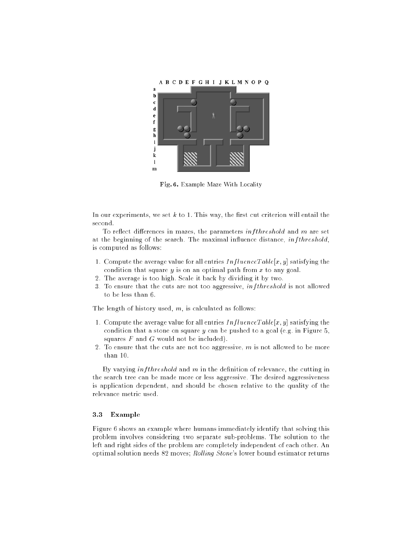

Fig. 6. Example Maze With Locality

In our experiments, we set  $k$  to 1. This way, the first cut criterion will entail the second.

To reflect differences in mazes, the parameters *infthreshold* and m are set at the beginning of the search. The maximal influence distance,  $\int$ infthreshold, is computed as follows:

- 1. Compute the average value for all entries  $Influence Table[x, y]$  satisfying the condition that square  $y$  is on an optimal path from  $x$  to any goal.
- 2. The average is too high. Scale it back by dividing it by two.
- 3. To ensure that the cuts are not too aggressive,  $in fitnesshold$  is not allowed to be less than 6.

The length of history used,  $m$ , is calculated as follows:

- 1. Compute the average value for all entries  $Influence Table[x, y]$  satisfying the condition that a stone on square  $y$  can be pushed to a goal (e.g. in Figure 5, squares  $F$  and  $G$  would not be included).
- 2. To ensure that the cuts are not too aggressive,  $m$  is not allowed to be more than 10.

By varying  $inf$ threshold and  $m$  in the definition of relevance, the cutting in the search tree can be made more or less aggressive. The desired aggressiveness is application dependent, and should be chosen relative to the quality of the relevance metric used.

# 3.3 Example

Figure 6 shows an example where humans immediately identify that solving this problem involves considering two separate sub-problems. The solution to the left and right sides of the problem are completely independent of each other. An optimal solution needs 82 moves; Rolling Stone's lower bound estimator returns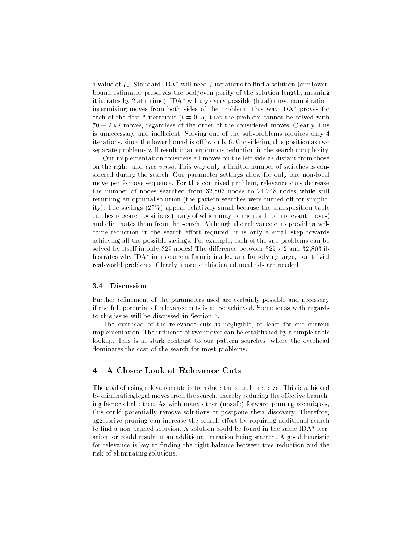a value of 70. Standard IDA\* will need 7 iterations to find a solution (our lowerbound estimator preserves the odd/even parity of the solution length, meaning it iterates by 2 at a time). IDA\* will try every possible (legal) move combination, intermixing moves from both sides of the problem. This way IDA\* proves for each of the first 6 iterations  $(i = 0..5)$  that the problem cannot be solved with  $70 + 2 * i$  moves, regardless of the order of the considered moves. Clearly, this is unnecessary and inefficient. Solving one of the sub-problems requires only 4 iterations, since the lower bound is off by only 6. Considering this position as two separate problems will result in an enormous reduction in the search complexity.

Our implementation considers all moves on the left side as distant from those on the right, and vice versa. This way only a limited number of switches is considered during the search. Our parameter settings allow for only one non-local move per 9-move sequence. For this contrived problem, relevance cuts decrease the number of nodes searched from 32,803 nodes to 24,748 nodes while still returning an optimal solution (the pattern searches were turned off for simplicity). The savings (25%) appear relatively small because the transposition table catches repeated positions (many of which may be the result of irrelevant moves) and eliminates them from the search. Although the relevance cuts provide a welcome reduction in the search effort required, it is only a small step towards achieving all the possible savings. For example, each of the sub-problems can be solved by itself in only 329 nodes! The dierence between 329 - 2 and 32,803 illustrates why IDA\* in its current form is inadequate for solving large, non-trivial real-world problems. Clearly, more sophisticated methods are needed.

### 3.4 Discussion

Further refinement of the parameters used are certainly possible and necessary if the full potential of relevance cuts is to be achieved. Some ideas with regards to this issue will be discussed in Section 6.

The overhead of the relevance cuts is negligible, at least for our current implementation. The influence of two moves can be established by a simple table lookup. This is in stark contrast to our pattern searches, where the overhead dominates the cost of the search for most problems.

### $\overline{\mathbf{4}}$ 4 A Closer Look at Relevance Cuts

The goal of using relevance cuts is to reduce the search tree size. This is achieved by eliminating legal moves from the search, thereby reducing the effective branching factor of the tree. As with many other (unsafe) forward pruning techniques, this could potentially remove solutions or postpone their discovery. Therefore, aggressive pruning can increase the search effort by requiring additional search to find a non-pruned solution. A solution could be found in the same  $IDA^*$  iteration, or could result in an additional iteration being started. A good heuristic for relevance is key to finding the right balance between tree reduction and the risk of eliminating solutions.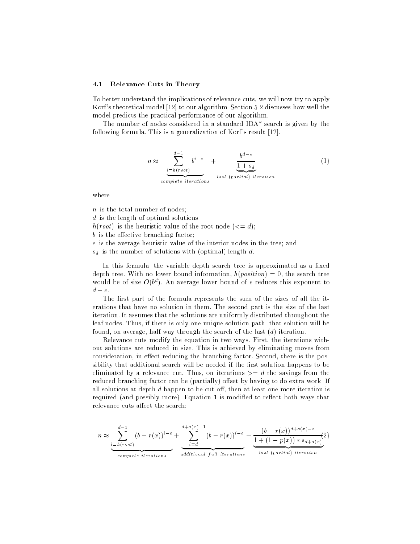### 4.1 Relevance Cuts in Theory

To better understand the implications of relevance cuts, we will now try to apply Korf 's theoretical model [12] to our algorithm. Section 5.2 discusses how well the model predicts the practical performance of our algorithm.

The number of nodes considered in a standard IDA\* search is given by the following formula. This is a generalization of Korf 's result [12].

$$
n \approx \sum_{\substack{i=h(\text{root}) \\ \text{complete iterations}}}^{d-1} b^{i-e} + \frac{b^{d-e}}{1+s_d}
$$
 (1)

where

n is the total number of nodes; d is the length of optimal solutions;  $h(root)$  is the heuristic value of the root node  $(\leq d)$ ;  $b$  is the effective branching factor; e is the average heuristic value of the interior nodes in the tree; and  $s_d$  is the number of solutions with (optimal) length d.

In this formula, the variable depth search tree is approximated as a fixed depth tree. With no lower bound information,  $h(position) = 0$ , the search tree would be of size  $O(v^*)$ . An average lower bound of  $e$  reduces this exponent to  $d - e$ .

The first part of the formula represents the sum of the sizes of all the iterations that have no solution in them. The second part is the size of the last iteration. It assumes that the solutions are uniformly distributed throughout the leaf nodes. Thus, if there is only one unique solution path, that solution will be found, on average, half way through the search of the last (d) iteration.

Relevance cuts modify the equation in two ways. First, the iterations without solutions are reduced in size. This is achieved by eliminating moves from consideration, in effect reducing the branching factor. Second, there is the possibility that additional search will be needed if the first solution happens to be eliminated by a relevance cut. Thus, on iterations  $\geq d$  the savings from the reduced branching factor can be (partially) offset by having to do extra work. If all solutions at depth  $d$  happen to be cut off, then at least one more iteration is required (and possibly more). Equation 1 is modified to reflect both ways that relevance cuts affect the search:

$$
n \approx \underbrace{\sum_{i=h (root)}^{d-1} (b-r(x))^{i-e}}_{complete iterations} + \underbrace{\sum_{i=d}^{d+a(x)-1} (b-r(x))^{i-e}}_{additional full iterations} + \underbrace{\frac{(b-r(x))^{d+a(x)-e}}{1+(1-p(x))*s_{d+a(x)}}}_{last (partial) iteration}
$$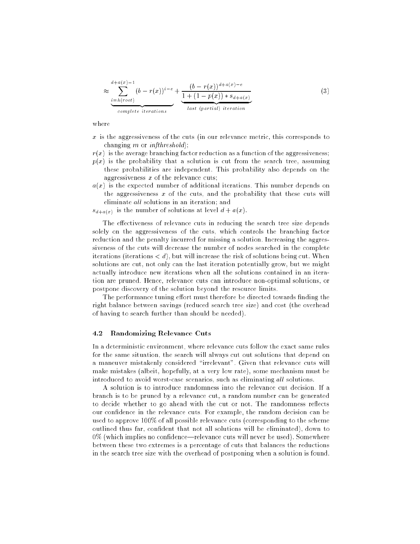$$
\approx \underbrace{\sum_{i=h(root)}^{d+a(x)-1} (b-r(x))^{i-e}}_{complete\ iterations} + \underbrace{\frac{(b-r(x))^{d+a(x)-e}}{1+(1-p(x))\ast s_{d+a(x)}}}_{last\ (partial)\ iteration} \tag{3}
$$

where

- $x$  is the aggressiveness of the cuts (in our relevance metric, this corresponds to changing m or *infthreshold*);
- $r(x)$  is the average branching factor reduction as a function of the aggressiveness;
- $p(x)$  is the probability that a solution is cut from the search tree, assuming these probabilities are independent. This probability also depends on the aggressiveness  $x$  of the relevance cuts;
- $a(x)$  is the expected number of additional iterations. This number depends on the aggressiveness  $x$  of the cuts, and the probability that these cuts will eliminate all solutions in an iteration; and

 $s_{d+a(x)}$  is the number of solutions at level  $d + a(x)$ .

The effectiveness of relevance cuts in reducing the search tree size depends solely on the aggressiveness of the cuts, which controls the branching factor reduction and the penalty incurred for missing a solution. Increasing the aggressiveness of the cuts will decrease the number of nodes searched in the complete iterations (iterations  $\langle d \rangle$ , but will increase the risk of solutions being cut. When solutions are cut, not only can the last iteration potentially grow, but we might actually introduce new iterations when all the solutions contained in an iteration are pruned. Hence, relevance cuts can introduce non-optimal solutions, or postpone discovery of the solution beyond the resource limits.

The performance tuning effort must therefore be directed towards finding the right balance between savings (reduced search tree size) and cost (the overhead of having to search further than should be needed).

# 4.2 Randomizing Relevance Cuts

In a deterministic environment, where relevance cuts follow the exact same rules for the same situation, the search will always cut out solutions that depend on a maneuver mistakenly considered "irrelevant". Given that relevance cuts will make mistakes (albeit, hopefully, at a very low rate), some mechanism must be introduced to avoid worst-case scenarios, such as eliminating all solutions.

A solution is to introduce randomness into the relevance cut decision. If a branch is to be pruned by a relevance cut, a random number can be generated to decide whether to go ahead with the cut or not. The randomness reflects our confidence in the relevance cuts. For example, the random decision can be used to approve 100% of all possible relevance cuts (corresponding to the scheme outlined thus far, condent that not all solutions will be eliminated), down to  $0\%$  (which implies no confidence—relevance cuts will never be used). Somewhere between these two extremes is a percentage of cuts that balances the reductions in the search tree size with the overhead of postponing when a solution is found.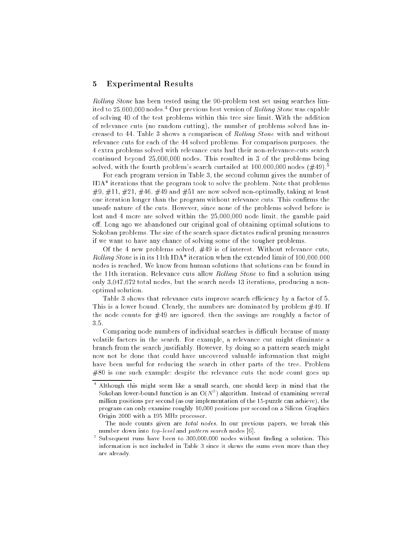# 5 Experimental Results

Rolling Stone has been tested using the 90-problem test set using searches limited to 25,000,000 nodes.<sup>4</sup> Our previous best version of Rolling Stone was capable of solving 40 of the test problems within this tree size limit. With the addition of relevance cuts (no random cutting), the number of problems solved has increased to 44. Table 3 shows a comparison of Rolling Stone with and without relevance cuts for each of the 44 solved problems. For comparison purposes, the 4 extra problems solved with relevance cuts had their non-relevance-cuts search continued beyond 25,000,000 nodes. This resulted in 3 of the problems being solved, with the fourth problem's search curtailed at  $100,000,000$  nodes  $(\#49)^5$ 

For each program version in Table 3, the second column gives the number of IDA\* iterations that the program took to solve the problem. Note that problems  $\#9, \#11, \#21, \#46, \#49$  and  $\#51$  are now solved non-optimally, taking at least one iteration longer than the program without relevance cuts. This confirms the unsafe nature of the cuts. However, since none of the problems solved before is lost and 4 more are solved within the 25,000,000 node limit, the gamble paid off. Long ago we abandoned our original goal of obtaining optimal solutions to Sokoban problems. The size of the search space dictates radical pruning measures if we want to have any chance of solving some of the tougher problems.

Of the 4 new problems solved, #49 is of interest. Without relevance cuts, Rolling Stone is in its 11th IDA\* iteration when the extended limit of  $100,000,000$ nodes is reached. We know from human solutions that solutions can be found in the 11th iteration. Relevance cuts allow *Rolling Stone* to find a solution using only 3,047,672 total nodes, but the search needs 13 iterations, producing a nonoptimal solution.

Table 3 shows that relevance cuts improve search efficiency by a factor of 5. This is a lower bound. Clearly, the numbers are dominated by problem #49. If the node counts for #49 are ignored, then the savings are roughly a factor of  $3.5.$ 

Comparing node numbers of individual searches is difficult because of many volatile factors in the search. For example, a relevance cut might eliminate a branch from the search justiably. However, by doing so a pattern search might now not be done that could have uncovered valuable information that might have been useful for reducing the search in other parts of the tree. Problem #80 is one such example: despite the relevance cuts the node count goes up

<sup>4</sup> Although this might seem like a small search, one should keep in mind that the Sokoban lower-bound function is an  $O(N^3)$  algorithm. Instead of examining several million positions per second (as our implementation of the 15-puzzle can achieve), the program can only examine roughly 10,000 positions per second on a Silicon Graphics Origin 2000 with a 195 MHz processor.

The node counts given are *total nodes*. In our previous papers, we break this number down into *top-level* and *pattern search* nodes [6].

<sup>5</sup> Subsequent runs have been to 300,000,000 nodes without finding a solution. This information is not included in Table 3 since it skews the sums even more than they are already.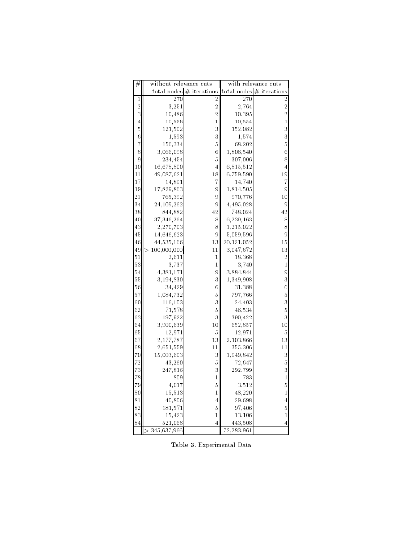| $_{\#}$         | without relevance cuts      |                | with relevance cuts                                     |                |  |  |  |  |
|-----------------|-----------------------------|----------------|---------------------------------------------------------|----------------|--|--|--|--|
|                 |                             |                | total nodes $\#$ iterations total nodes $\#$ iterations |                |  |  |  |  |
| $\mathbf{1}$    | 270                         | $\overline{2}$ | 270                                                     | $\overline{2}$ |  |  |  |  |
| $\overline{2}$  | 3,251                       | $\overline{2}$ | 2,764                                                   | $\overline{2}$ |  |  |  |  |
| 3               | 10,486                      | $\overline{2}$ | 10,395                                                  | $\overline{2}$ |  |  |  |  |
| $\overline{4}$  | 10,556                      | $\mathbf{1}$   | 10,554                                                  | $\mathbf{1}$   |  |  |  |  |
| $\overline{5}$  | 121,502                     | 3              | 152,082                                                 | 3              |  |  |  |  |
| 6               | 1,593                       | 3              | 1,574                                                   | 3              |  |  |  |  |
| 7               | 156,334                     | $\overline{5}$ | 68,202                                                  | $\overline{5}$ |  |  |  |  |
| 8               | 3,066,098                   | 6              | 1,806,540                                               | 6              |  |  |  |  |
| 9               | 234,454                     | $\overline{5}$ | 307,006                                                 | 8              |  |  |  |  |
| 10              | 16,678,800                  | $\overline{4}$ | 6,815,512                                               | $\overline{4}$ |  |  |  |  |
| 11              | 49,087,621                  | 18             | 6,759,590                                               | 19             |  |  |  |  |
| 17              | 14,891                      | $\overline{7}$ | 14,740                                                  | 7              |  |  |  |  |
| 19              | 17,829,863                  | 9              | 1,814,505                                               | 9              |  |  |  |  |
| $\overline{21}$ | 765,392                     | 9              | 970,776                                                 | 10             |  |  |  |  |
| 34              | 24,109,262                  | 9              | 4,495,028                                               | 9              |  |  |  |  |
| 38              | 844,882                     | 42             | 748,024                                                 | 42             |  |  |  |  |
| 40              | 37,346,264                  | 8              | 6,239,163                                               | 8              |  |  |  |  |
| 43              | 2,270,703                   | 8              | 1,215,022                                               | 8              |  |  |  |  |
| 45              | 14,646,623                  | 9              | 5,059,596                                               | 9              |  |  |  |  |
| 46              | 44,535,166                  | 13             | 20,121,052                                              | $15\,$         |  |  |  |  |
| 49              | 100,000,000<br>>            | 11             | 3,047,672                                               | 13             |  |  |  |  |
| 51              | 2,611                       | $\mathbf{1}$   | 18,368                                                  | $\overline{2}$ |  |  |  |  |
| 53              | 3,737                       | $\mathbf{1}$   | 3,740                                                   | 1              |  |  |  |  |
| 54              | 4,381,171                   | 9              | 3,884,844                                               | 9              |  |  |  |  |
| 55              | 3,194,830                   | 3              | 1,349,908                                               | 3              |  |  |  |  |
| 56              | 34,429                      | 6              | 31,388                                                  | 6              |  |  |  |  |
| 57              | 1,084,732                   | $\overline{5}$ | 797,766                                                 | $\overline{5}$ |  |  |  |  |
| 60              | 116,103                     | 3              | 24,403                                                  | 3              |  |  |  |  |
| 62              | 71,578                      | $\overline{5}$ | 46,534                                                  | $\overline{5}$ |  |  |  |  |
| 63              | 197,922                     | 3              | 390,422                                                 | 3              |  |  |  |  |
| 64              | 3,900,639                   | 10             | 652,857                                                 | 10             |  |  |  |  |
| 65              | 12,971                      | $\overline{5}$ | 12,971                                                  | 5              |  |  |  |  |
| 67              | 2,177,787                   | 13             | 2,103,866                                               | 13             |  |  |  |  |
| 68              | 2,651,559                   | 11             | 355,306                                                 | 11             |  |  |  |  |
| 70              | 15,003,603                  | 3              | 1,949,842                                               | 3              |  |  |  |  |
| 72              | 43,260                      | 5              | 72,647                                                  | $\overline{5}$ |  |  |  |  |
| 73              | 247,816                     | 3              | 292,799                                                 | 3              |  |  |  |  |
| 78              | 809                         | $\mathbf{1}$   | 783                                                     | $\mathbf{1}$   |  |  |  |  |
| 79              | 4,017                       | $\overline{5}$ | 3,512                                                   | $\overline{5}$ |  |  |  |  |
| 80              | 15,513                      | $\mathbf{1}$   | 48,220                                                  | $\bf{l}$       |  |  |  |  |
| 81              | 40,806                      | $\overline{4}$ | 29,698                                                  | $\overline{4}$ |  |  |  |  |
| 82              | 181,571                     | $\overline{5}$ | 97,406                                                  | $\overline{5}$ |  |  |  |  |
| 83              | 15,423                      | $\mathbf{1}$   | 13,106                                                  | 1              |  |  |  |  |
| 84              | 521,068                     | $\overline{4}$ | 443,508                                                 | $\overline{4}$ |  |  |  |  |
|                 | 345.637.966<br>$\mathbf{L}$ |                | 283.961<br>72                                           |                |  |  |  |  |

Table 3. Experimental Data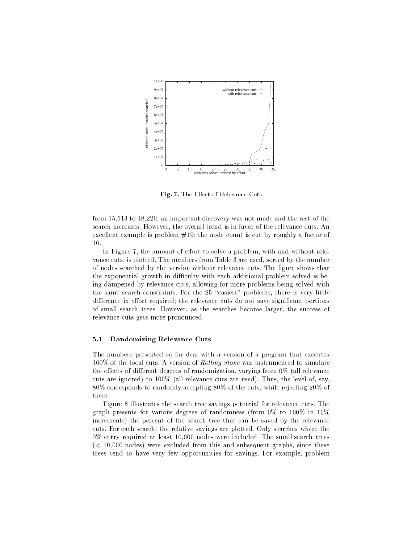

Fig. 7. The Effect of Relevance Cuts

from 15,513 to 48,220; an important discovery was not made and the rest of the search increases. However, the overall trend is in favor of the relevance cuts. An excellent example is problem  $#19$ : the node count is cut by roughly a factor of 10.

In Figure 7, the amount of effort to solve a problem, with and without relevance cuts, is plotted. The numbers from Table 3 are used, sorted by the number of nodes searched by the version without relevance cuts. The figure shows that the exponential growth in difficulty with each additional problem solved is being dampened by relevance cuts, allowing for more problems being solved with the same search constraints. For the 25 "easiest" problems, there is very little difference in effort required; the relevance cuts do not save significant portions of small search trees. However, as the searches become larger, the success of relevance cuts gets more pronounced.

# 5.1 Randomizing Relevance Cuts

The numbers presented so far deal with a version of a program that executes  $100\%$  of the local cuts. A version of *Rolling Stone* was instrumented to simulate the effects of different degrees of randomization, varying from  $0\%$  (all relevance cuts are ignored) to 100% (all relevance cuts are used). Thus, the level of, say, 80% corresponds to randomly accepting 80% of the cuts, while rejecting 20% of them.

Figure 8 illustrates the search tree savings potential for relevance cuts. The graph presents for various degrees of randomness (from 0% to 100% in 10% increments) the percent of the search tree that can be saved by the relevance cuts. For each search, the relative savings are plotted. Only searches where the 0% entry required at least 10,000 nodes were included. The small search trees  $( $10,000$  nodes) were excluded from this and subsequent graphs, since these$ trees tend to have very few opportunities for savings. For example, problem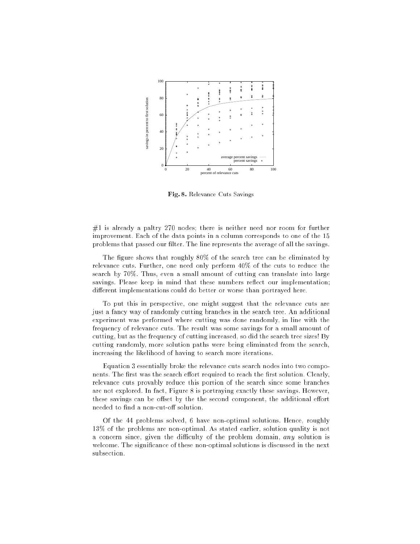

Fig. 8. Relevance Cuts Savings

#1 is already a paltry 270 nodes; there is neither need nor room for further improvement. Each of the data points in a column corresponds to one of the 15 problems that passed our filter. The line represents the average of all the savings.

The figure shows that roughly 80% of the search tree can be eliminated by relevance cuts. Further, one need only perform 40% of the cuts to reduce the search by 70%. Thus, even a small amount of cutting can translate into large savings. Please keep in mind that these numbers reflect our implementation; different implementations could do better or worse than portrayed here.

To put this in perspective, one might suggest that the relevance cuts are just a fancy way of randomly cutting branches in the search tree. An additional experiment was performed where cutting was done randomly, in line with the frequency of relevance cuts. The result was some savings for a small amount of cutting, but as the frequency of cutting increased, so did the search tree sizes! By cutting randomly, more solution paths were being eliminated from the search, increasing the likelihood of having to search more iterations.

Equation 3 essentially broke the relevance cuts search nodes into two components. The first was the search effort required to reach the first solution. Clearly, relevance cuts provably reduce this portion of the search since some branches are not explored. In fact, Figure 8 is portraying exactly these savings. However, these savings can be offset by the the second component, the additional effort needed to find a non-cut-off solution.

Of the 44 problems solved, 6 have non-optimal solutions. Hence, roughly 13% of the problems are non-optimal. As stated earlier, solution quality is not a concern since, given the difficulty of the problem domain,  $any$  solution is welcome. The signicance of these non-optimal solutions is discussed in the next subsection.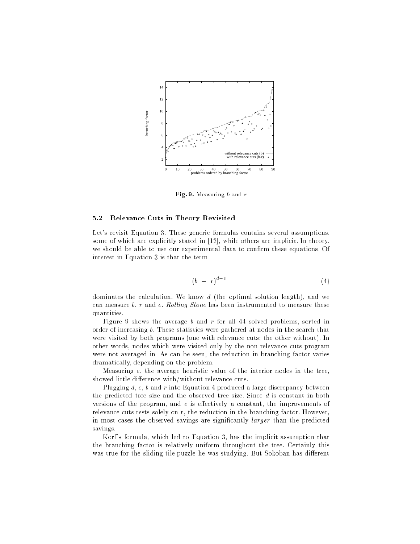

Fig. 9. Measuring  $b$  and  $r$ 

#### $5.2$ 5.2 Relevance Cuts in Theory Revisited

Let's revisit Equation 3. These generic formulas contains several assumptions, some of which are explicitly stated in [12], while others are implicit. In theory, we should be able to use our experimental data to confirm these equations. Of interest in Equation 3 is that the term

$$
(b - r)^{d-e} \tag{4}
$$

dominates the calculation. We know  $d$  (the optimal solution length), and we can measure  $b, r$  and  $e.$  Rolling Stone has been instrumented to measure these quantities.

Figure 9 shows the average  $b$  and  $r$  for all 44 solved problems, sorted in order of increasing b. These statistics were gathered at nodes in the search that were visited by both programs (one with relevance cuts; the other without). In other words, nodes which were visited only by the non-relevance cuts program were not averaged in. As can be seen, the reduction in branching factor varies dramatically, depending on the problem.

Measuring e, the average heuristic value of the interior nodes in the tree, showed little difference with/without relevance cuts.

Plugging  $d, e, b$  and r into Equation 4 produced a large discrepancy between the predicted tree size and the observed tree size. Since  $d$  is constant in both versions of the program, and  $e$  is effectively a constant, the improvements of relevance cuts rests solely on  $r$ , the reduction in the branching factor. However, in most cases the observed savings are signicantly larger than the predicted savings.

Korf 's formula, which led to Equation 3, has the implicit assumption that the branching factor is relatively uniform throughout the tree. Certainly this was true for the sliding-tile puzzle he was studying. But Sokoban has different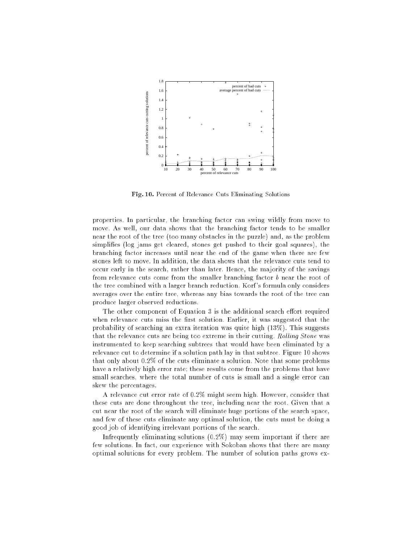

Fig. 10. Percent of Relevance Cuts Eliminating Solutions

properties. In particular, the branching factor can swing wildly from move to move. As well, our data shows that the branching factor tends to be smaller near the root of the tree (too many obstacles in the puzzle) and, as the problem simplies (log jams get cleared, stones get pushed to their goal squares), the branching factor increases until near the end of the game when there are few stones left to move. In addition, the data shows that the relevance cuts tend to occur early in the search, rather than later. Hence, the majority of the savings from relevance cuts come from the smaller branching factor b near the root of the tree combined with a larger branch reduction. Korf 's formula only considers averages over the entire tree, whereas any bias towards the root of the tree can produce larger observed reductions.

The other component of Equation 3 is the additional search effort required when relevance cuts miss the first solution. Earlier, it was suggested that the probability of searching an extra iteration was quite high (13%). This suggests that the relevance cuts are being too extreme in their cutting. Rolling Stone was instrumented to keep searching subtrees that would have been eliminated by a relevance cut to determine if a solution path lay in that subtree. Figure 10 shows that only about 0.2% of the cuts eliminate a solution. Note that some problems have a relatively high error rate; these results come from the problems that have small searches, where the total number of cuts is small and a single error can skew the percentages.

A relevance cut error rate of 0.2% might seem high. However, consider that these cuts are done throughout the tree, including near the root. Given that a cut near the root of the search will eliminate huge portions of the search space, and few of these cuts eliminate any optimal solution, the cuts must be doing a good job of identifying irrelevant portions of the search.

Infrequently eliminating solutions (0.2%) may seem important if there are few solutions. In fact, our experience with Sokoban shows that there are many optimal solutions for every problem. The number of solution paths grows ex-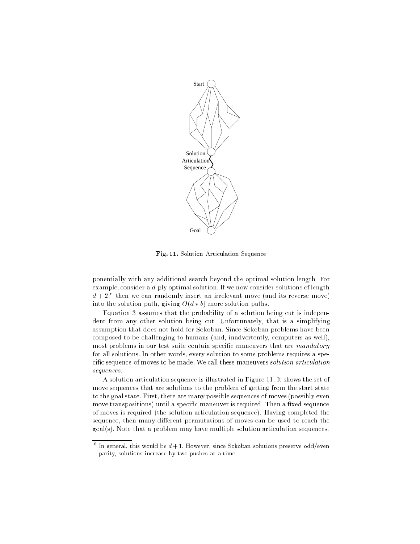

Fig. 11. Solution Articulation Sequence

ponentially with any additional search beyond the optimal solution length. For example, consider a d-ply optimal solution. If we now consider solutions of length  $a + 2$ , then we can randomly insert an irrelevant move (and its reverse move) into the solution path, giving  $O(d * b)$  more solution paths.

Equation 3 assumes that the probability of a solution being cut is independent from any other solution being cut. Unfortunately, that is a simplifying assumption that does not hold for Sokoban. Since Sokoban problems have been composed to be challenging to humans (and, inadvertently, computers as well), most problems in our test suite contain specific maneuvers that are mandatory for all solutions. In other words, every solution to some problems requires a specific sequence of moves to be made. We call these maneuvers solution articulation sequences.

A solution articulation sequence is illustrated in Figure 11. It shows the set of move sequences that are solutions to the problem of getting from the start state to the goal state. First, there are many possible sequences of moves (possibly even move transpositions) until a specific maneuver is required. Then a fixed sequence of moves is required (the solution articulation sequence). Having completed the sequence, then many different permutations of moves can be used to reach the goal(s). Note that a problem may have multiple solution articulation sequences.

 $^{\circ}$  In general, this would be  $d+1$ . However, since Sokoban solutions preserve odd/even parity, solutions increase by two pushes at a time.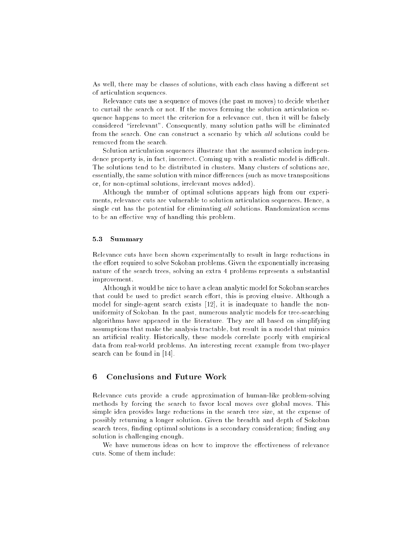As well, there may be classes of solutions, with each class having a different set of articulation sequences.

Relevance cuts use a sequence of moves (the past m moves) to decide whether to curtail the search or not. If the moves forming the solution articulation sequence happens to meet the criterion for a relevance cut, then it will be falsely considered "irrelevant". Consequently, many solution paths will be eliminated from the search. One can construct a scenario by which all solutions could be

Solution articulation sequences illustrate that the assumed solution independence property is, in fact, incorrect. Coming up with a realistic model is difficult. The solutions tend to be distributed in clusters. Many clusters of solutions are, essentially, the same solution with minor differences (such as move transpositions or, for non-optimal solutions, irrelevant moves added).

Although the number of optimal solutions appears high from our experiments, relevance cuts are vulnerable to solution articulation sequences. Hence, a single cut has the potential for eliminating all solutions. Randomization seems to be an effective way of handling this problem.

### 5.3 Summary

Relevance cuts have been shown experimentally to result in large reductions in the effort required to solve Sokoban problems. Given the exponentially increasing nature of the search trees, solving an extra 4 problems represents a substantial improvement.

Although it would be nice to have a clean analytic model for Sokoban searches that could be used to predict search effort, this is proving elusive. Although a model for single-agent search exists [12], it is inadequate to handle the nonuniformity of Sokoban. In the past, numerous analytic models for tree-searching algorithms have appeared in the literature. They are all based on simplifying assumptions that make the analysis tractable, but result in a model that mimics an articial reality. Historically, these models correlate poorly with empirical data from real-world problems. An interesting recent example from two-player search can be found in [14].

#### **Conclusions and Future Work** 6

Relevance cuts provide a crude approximation of human-like problem-solving methods by forcing the search to favor local moves over global moves. This simple idea provides large reductions in the search tree size, at the expense of possibly returning a longer solution. Given the breadth and depth of Sokoban search trees, finding optimal solutions is a secondary consideration; finding any solution is challenging enough.

We have numerous ideas on how to improve the effectiveness of relevance cuts. Some of them include: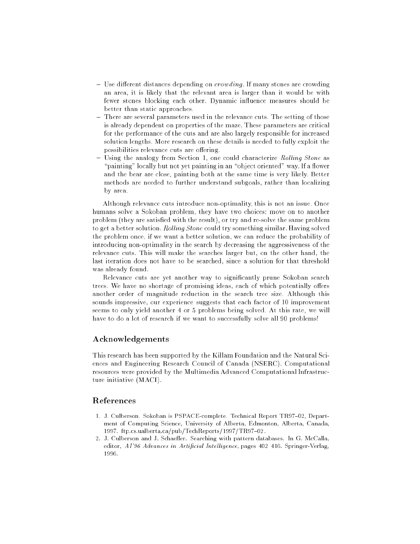- ${\bf -}$  Use different distances depending on *crowding*. If many stones are crowding an area, it is likely that the relevant area is larger than it would be with fewer stones blocking each other. Dynamic influence measures should be better than static approaches.
- There are several parameters used in the relevance cuts. The setting of those is already dependent on properties of the maze. These parameters are critical for the performance of the cuts and are also largely responsible for increased solution lengths. More research on these details is needed to fully exploit the possibilities relevance cuts are offering.
- ${\bf -}$  Using the analogy from Section 1, one could characterize Rolling Stone as "painting" locally but not yet painting in an "object oriented" way. If a flower and the bear are close, painting both at the same time is very likely. Better methods are needed to further understand subgoals, rather than localizing by area.

Although relevance cuts introduce non-optimality, this is not an issue. Once humans solve a Sokoban problem, they have two choices: move on to another problem (they are satised with the result), or try and re-solve the same problem to get a better solution. Rolling Stone could try something similar. Having solved the problem once, if we want a better solution, we can reduce the probability of introducing non-optimality in the search by decreasing the aggressiveness of the relevance cuts. This will make the searches larger but, on the other hand, the last iteration does not have to be searched, since a solution for that threshold was already found.

Relevance cuts are yet another way to signicantly prune Sokoban search trees. We have no shortage of promising ideas, each of which potentially offers another order of magnitude reduction in the search tree size. Although this sounds impressive, our experience suggests that each factor of 10 improvement seems to only yield another 4 or 5 problems being solved. At this rate, we will have to do a lot of research if we want to successfully solve all 90 problems!

# Acknowledgements

This research has been supported by the Killam Foundation and the Natural Sciences and Engineering Research Council of Canada (NSERC). Computational resources were provided by the Multimedia Advanced Computational Infrastructure initiative (MACI).

# References

- 1. J. Culberson. Sokoban is PSPACE-complete. Technical Report TR97-02, Department of Computing Science, University of Alberta, Edmonton, Alberta, Canada, 1997. ftp.cs.ualberta.ca/pub/TechReports/1997/TR97-02.
- 2. J. Culberson and J. Schaeffer. Searching with pattern databases. In G. McCalla, editor,  $A T96$  Advances in Artificial Intelligence, pages  $402-416$ . Springer-Verlag, 1996